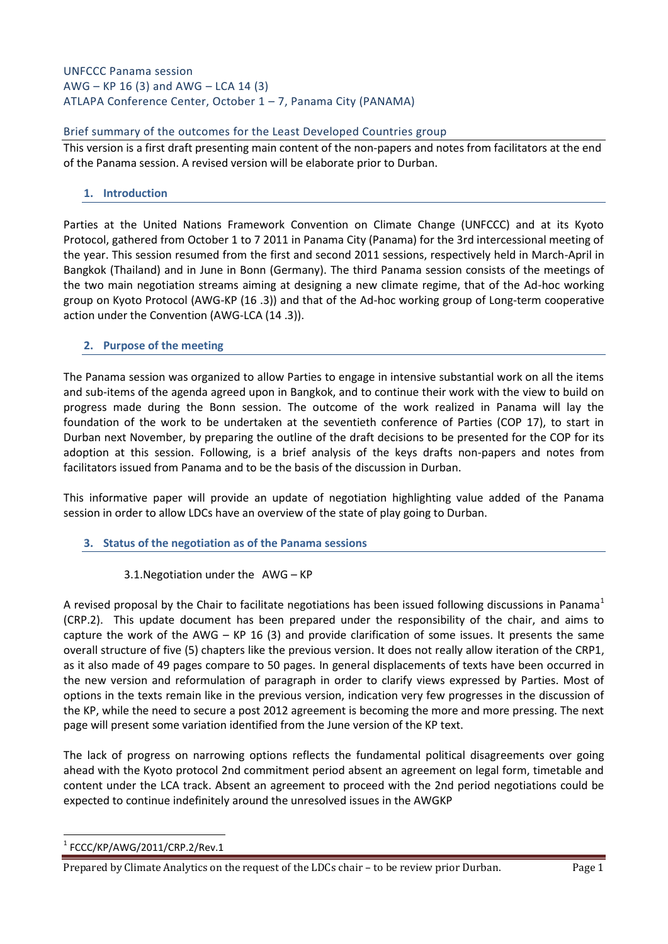# UNFCCC Panama session AWG – KP 16 (3) and AWG – LCA 14 (3) ATLAPA Conference Center, October 1 – 7, Panama City (PANAMA)

### Brief summary of the outcomes for the Least Developed Countries group

This version is a first draft presenting main content of the non-papers and notes from facilitators at the end of the Panama session. A revised version will be elaborate prior to Durban.

#### **1. Introduction**

Parties at the United Nations Framework Convention on Climate Change (UNFCCC) and at its Kyoto Protocol, gathered from October 1 to 7 2011 in Panama City (Panama) for the 3rd intercessional meeting of the year. This session resumed from the first and second 2011 sessions, respectively held in March-April in Bangkok (Thailand) and in June in Bonn (Germany). The third Panama session consists of the meetings of the two main negotiation streams aiming at designing a new climate regime, that of the Ad-hoc working group on Kyoto Protocol (AWG-KP (16 .3)) and that of the Ad-hoc working group of Long-term cooperative action under the Convention (AWG-LCA (14 .3)).

#### **2. Purpose of the meeting**

The Panama session was organized to allow Parties to engage in intensive substantial work on all the items and sub-items of the agenda agreed upon in Bangkok, and to continue their work with the view to build on progress made during the Bonn session. The outcome of the work realized in Panama will lay the foundation of the work to be undertaken at the seventieth conference of Parties (COP 17), to start in Durban next November, by preparing the outline of the draft decisions to be presented for the COP for its adoption at this session. Following, is a brief analysis of the keys drafts non-papers and notes from facilitators issued from Panama and to be the basis of the discussion in Durban.

This informative paper will provide an update of negotiation highlighting value added of the Panama session in order to allow LDCs have an overview of the state of play going to Durban.

# **3. Status of the negotiation as of the Panama sessions**

#### 3.1.Negotiation under the AWG – KP

A revised proposal by the Chair to facilitate negotiations has been issued following discussions in Panama<sup>1</sup> (CRP.2). This update document has been prepared under the responsibility of the chair, and aims to capture the work of the AWG – KP 16 (3) and provide clarification of some issues. It presents the same overall structure of five (5) chapters like the previous version. It does not really allow iteration of the CRP1, as it also made of 49 pages compare to 50 pages. In general displacements of texts have been occurred in the new version and reformulation of paragraph in order to clarify views expressed by Parties. Most of options in the texts remain like in the previous version, indication very few progresses in the discussion of the KP, while the need to secure a post 2012 agreement is becoming the more and more pressing. The next page will present some variation identified from the June version of the KP text.

The lack of progress on narrowing options reflects the fundamental political disagreements over going ahead with the Kyoto protocol 2nd commitment period absent an agreement on legal form, timetable and content under the LCA track. Absent an agreement to proceed with the 2nd period negotiations could be expected to continue indefinitely around the unresolved issues in the AWGKP

**<sup>.</sup>**  $1$  FCCC/KP/AWG/2011/CRP.2/Rev.1

Prepared by Climate Analytics on the request of the LDCs chair - to be review prior Durban. Page 1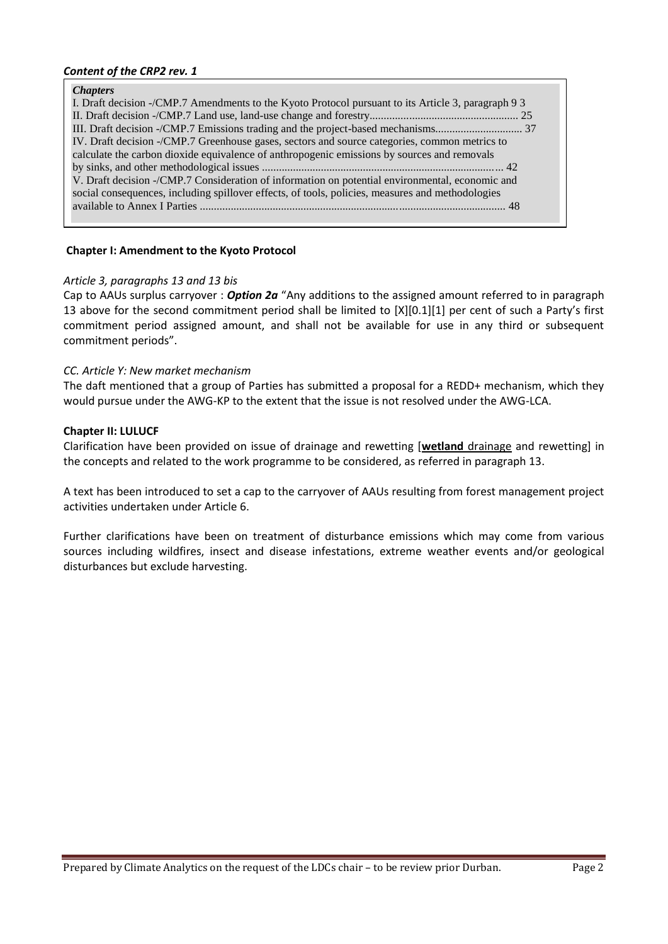#### *Content of the CRP2 rev. 1*

#### *Chapters*

| I. Draft decision -/CMP.7 Amendments to the Kyoto Protocol pursuant to its Article 3, paragraph 9 3 |
|-----------------------------------------------------------------------------------------------------|
|                                                                                                     |
|                                                                                                     |
| IV. Draft decision -/CMP.7 Greenhouse gases, sectors and source categories, common metrics to       |
| calculate the carbon dioxide equivalence of anthropogenic emissions by sources and removals         |
|                                                                                                     |
| V. Draft decision -/CMP.7 Consideration of information on potential environmental, economic and     |
| social consequences, including spillover effects, of tools, policies, measures and methodologies    |
|                                                                                                     |
|                                                                                                     |

#### **Chapter I: Amendment to the Kyoto Protocol**

#### *Article 3, paragraphs 13 and 13 bis*

Cap to AAUs surplus carryover : *Option 2a* "Any additions to the assigned amount referred to in paragraph 13 above for the second commitment period shall be limited to [X][0.1][1] per cent of such a Party's first commitment period assigned amount, and shall not be available for use in any third or subsequent commitment periods".

#### *CC. Article Y: New market mechanism*

The daft mentioned that a group of Parties has submitted a proposal for a REDD+ mechanism, which they would pursue under the AWG-KP to the extent that the issue is not resolved under the AWG-LCA.

#### **Chapter II: LULUCF**

Clarification have been provided on issue of drainage and rewetting [**wetland** drainage and rewetting] in the concepts and related to the work programme to be considered, as referred in paragraph 13.

A text has been introduced to set a cap to the carryover of AAUs resulting from forest management project activities undertaken under Article 6.

Further clarifications have been on treatment of disturbance emissions which may come from various sources including wildfires, insect and disease infestations, extreme weather events and/or geological disturbances but exclude harvesting.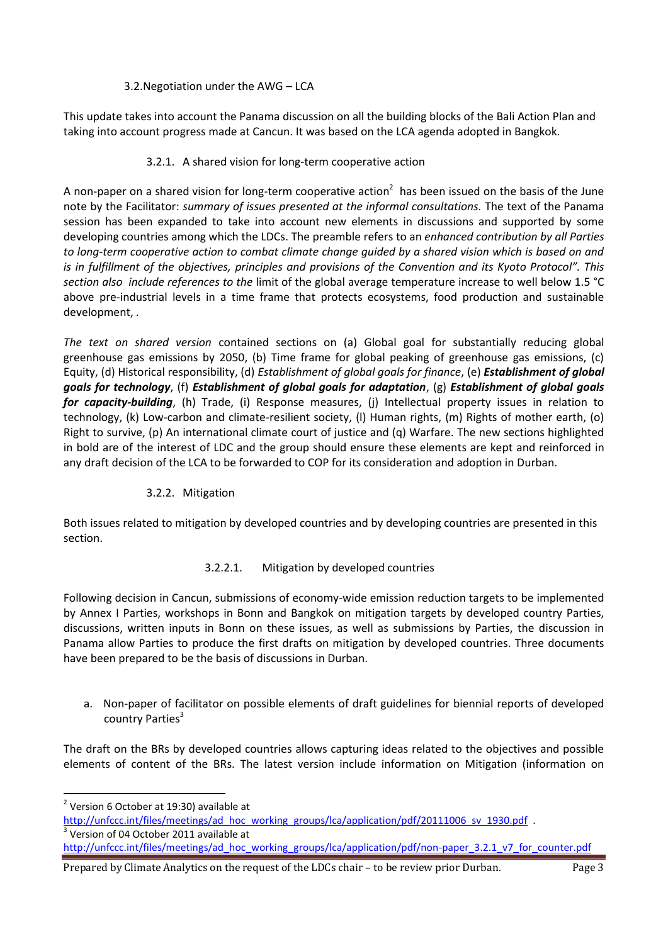# 3.2.Negotiation under the AWG – LCA

This update takes into account the Panama discussion on all the building blocks of the Bali Action Plan and taking into account progress made at Cancun. It was based on the LCA agenda adopted in Bangkok.

# 3.2.1. A shared vision for long-term cooperative action

A non-paper on a shared vision for long-term cooperative action<sup>2</sup> has been issued on the basis of the June note by the Facilitator: *summary of issues presented at the informal consultations.* The text of the Panama session has been expanded to take into account new elements in discussions and supported by some developing countries among which the LDCs. The preamble refers to an *enhanced contribution by all Parties to long-term cooperative action to combat climate change guided by a shared vision which is based on and is in fulfillment of the objectives, principles and provisions of the Convention and its Kyoto Protocol". This section also include references to the* limit of the global average temperature increase to well below 1.5 °C above pre-industrial levels in a time frame that protects ecosystems, food production and sustainable development, *.* 

*The text on shared version* contained sections on (a) Global goal for substantially reducing global greenhouse gas emissions by 2050, (b) Time frame for global peaking of greenhouse gas emissions, (c) Equity, (d) Historical responsibility, (d) *Establishment of global goals for finance*, (e) *Establishment of global goals for technology*, (f) *Establishment of global goals for adaptation*, (g) *Establishment of global goals for capacity-building*, (h) Trade, (i) Response measures, (j) Intellectual property issues in relation to technology, (k) Low-carbon and climate-resilient society, (l) Human rights, (m) Rights of mother earth, (o) Right to survive, (p) An international climate court of justice and (q) Warfare. The new sections highlighted in bold are of the interest of LDC and the group should ensure these elements are kept and reinforced in any draft decision of the LCA to be forwarded to COP for its consideration and adoption in Durban.

# 3.2.2. Mitigation

Both issues related to mitigation by developed countries and by developing countries are presented in this section.

# 3.2.2.1. Mitigation by developed countries

Following decision in Cancun, submissions of economy-wide emission reduction targets to be implemented by Annex I Parties, workshops in Bonn and Bangkok on mitigation targets by developed country Parties, discussions, written inputs in Bonn on these issues, as well as submissions by Parties, the discussion in Panama allow Parties to produce the first drafts on mitigation by developed countries. Three documents have been prepared to be the basis of discussions in Durban.

a. Non-paper of facilitator on possible elements of draft guidelines for biennial reports of developed country Parties<sup>3</sup>

The draft on the BRs by developed countries allows capturing ideas related to the objectives and possible elements of content of the BRs. The latest version include information on Mitigation (information on

**.** 

<sup>3</sup> Version of 04 October 2011 available at

 $2$  Version 6 October at 19:30) available at

[http://unfccc.int/files/meetings/ad\\_hoc\\_working\\_groups/lca/application/pdf/20111006\\_sv\\_1930.pdf](http://unfccc.int/files/meetings/ad_hoc_working_groups/lca/application/pdf/20111006_sv_1930.pdf)

[http://unfccc.int/files/meetings/ad\\_hoc\\_working\\_groups/lca/application/pdf/non-paper\\_3.2.1\\_v7\\_for\\_counter.pdf](http://unfccc.int/files/meetings/ad_hoc_working_groups/lca/application/pdf/non-paper_3.2.1_v7_for_counter.pdf)

Prepared by Climate Analytics on the request of the LDCs chair – to be review prior Durban. Page 3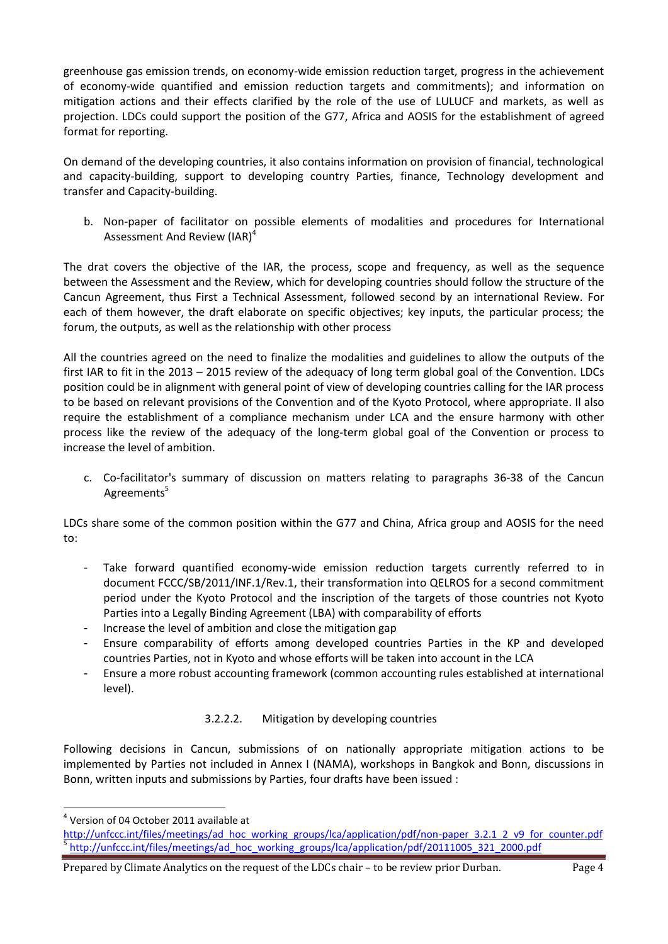greenhouse gas emission trends, on economy-wide emission reduction target, progress in the achievement of economy-wide quantified and emission reduction targets and commitments); and information on mitigation actions and their effects clarified by the role of the use of LULUCF and markets, as well as projection. LDCs could support the position of the G77, Africa and AOSIS for the establishment of agreed format for reporting.

On demand of the developing countries, it also contains information on provision of financial, technological and capacity-building, support to developing country Parties, finance, Technology development and transfer and Capacity-building.

b. Non-paper of facilitator on possible elements of modalities and procedures for International Assessment And Review (IAR)<sup>4</sup>

The drat covers the objective of the IAR, the process, scope and frequency, as well as the sequence between the Assessment and the Review, which for developing countries should follow the structure of the Cancun Agreement, thus First a Technical Assessment, followed second by an international Review. For each of them however, the draft elaborate on specific objectives; key inputs, the particular process; the forum, the outputs, as well as the relationship with other process

All the countries agreed on the need to finalize the modalities and guidelines to allow the outputs of the first IAR to fit in the 2013 – 2015 review of the adequacy of long term global goal of the Convention. LDCs position could be in alignment with general point of view of developing countries calling for the IAR process to be based on relevant provisions of the Convention and of the Kyoto Protocol, where appropriate. Il also require the establishment of a compliance mechanism under LCA and the ensure harmony with other process like the review of the adequacy of the long-term global goal of the Convention or process to increase the level of ambition.

c. Co-facilitator's summary of discussion on matters relating to paragraphs 36-38 of the Cancun Agreements<sup>5</sup>

LDCs share some of the common position within the G77 and China, Africa group and AOSIS for the need to:

- Take forward quantified economy-wide emission reduction targets currently referred to in document FCCC/SB/2011/INF.1/Rev.1, their transformation into QELROS for a second commitment period under the Kyoto Protocol and the inscription of the targets of those countries not Kyoto Parties into a Legally Binding Agreement (LBA) with comparability of efforts
- Increase the level of ambition and close the mitigation gap
- Ensure comparability of efforts among developed countries Parties in the KP and developed countries Parties, not in Kyoto and whose efforts will be taken into account in the LCA
- Ensure a more robust accounting framework (common accounting rules established at international level).

# 3.2.2.2. Mitigation by developing countries

Following decisions in Cancun, submissions of on nationally appropriate mitigation actions to be implemented by Parties not included in Annex I (NAMA), workshops in Bangkok and Bonn, discussions in Bonn, written inputs and submissions by Parties, four drafts have been issued :

**.** 

<sup>4</sup> Version of 04 October 2011 available at

[http://unfccc.int/files/meetings/ad\\_hoc\\_working\\_groups/lca/application/pdf/non-paper\\_3.2.1\\_2\\_v9\\_for\\_counter.pdf](http://unfccc.int/files/meetings/ad_hoc_working_groups/lca/application/pdf/non-paper_3.2.1_2_v9_for_counter.pdf) 5 [http://unfccc.int/files/meetings/ad\\_hoc\\_working\\_groups/lca/application/pdf/20111005\\_321\\_2000.pdf](http://unfccc.int/files/meetings/ad_hoc_working_groups/lca/application/pdf/20111005_321_2000.pdf)

Prepared by Climate Analytics on the request of the LDCs chair – to be review prior Durban. Page 4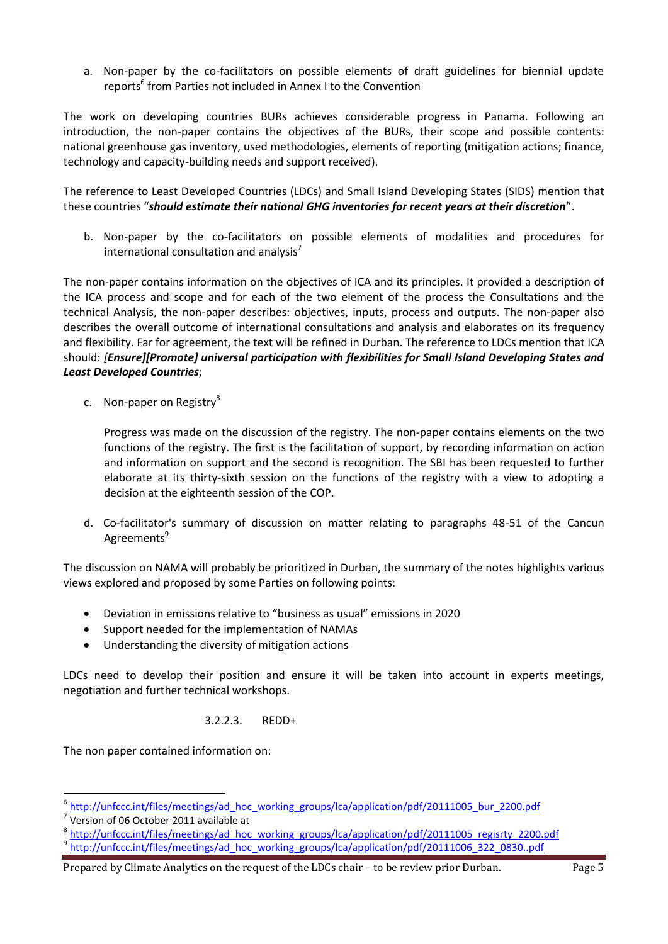a. Non-paper by the co-facilitators on possible elements of draft guidelines for biennial update reports<sup>6</sup> from Parties not included in Annex I to the Convention

The work on developing countries BURs achieves considerable progress in Panama. Following an introduction, the non-paper contains the objectives of the BURs, their scope and possible contents: national greenhouse gas inventory, used methodologies, elements of reporting (mitigation actions; finance, technology and capacity-building needs and support received).

The reference to Least Developed Countries (LDCs) and Small Island Developing States (SIDS) mention that these countries "*should estimate their national GHG inventories for recent years at their discretion*".

b. Non-paper by the co-facilitators on possible elements of modalities and procedures for international consultation and analysis<sup>7</sup>

The non-paper contains information on the objectives of ICA and its principles. It provided a description of the ICA process and scope and for each of the two element of the process the Consultations and the technical Analysis, the non-paper describes: objectives, inputs, process and outputs. The non-paper also describes the overall outcome of international consultations and analysis and elaborates on its frequency and flexibility. Far for agreement, the text will be refined in Durban. The reference to LDCs mention that ICA should: *[Ensure][Promote] universal participation with flexibilities for Small Island Developing States and Least Developed Countries*;

c. Non-paper on Registry<sup>8</sup>

Progress was made on the discussion of the registry. The non-paper contains elements on the two functions of the registry. The first is the facilitation of support, by recording information on action and information on support and the second is recognition. The SBI has been requested to further elaborate at its thirty-sixth session on the functions of the registry with a view to adopting a decision at the eighteenth session of the COP.

d. Co-facilitator's summary of discussion on matter relating to paragraphs 48-51 of the Cancun Agreements<sup>9</sup>

The discussion on NAMA will probably be prioritized in Durban, the summary of the notes highlights various views explored and proposed by some Parties on following points:

- Deviation in emissions relative to "business as usual" emissions in 2020
- Support needed for the implementation of NAMAs
- Understanding the diversity of mitigation actions

LDCs need to develop their position and ensure it will be taken into account in experts meetings, negotiation and further technical workshops.

# 3.2.2.3. REDD+

The non paper contained information on:

8 [http://unfccc.int/files/meetings/ad\\_hoc\\_working\\_groups/lca/application/pdf/20111005\\_regisrty\\_2200.pdf](http://unfccc.int/files/meetings/ad_hoc_working_groups/lca/application/pdf/20111005_regisrty_2200.pdf) 9 [http://unfccc.int/files/meetings/ad\\_hoc\\_working\\_groups/lca/application/pdf/20111006\\_322\\_0830..pdf](http://unfccc.int/files/meetings/ad_hoc_working_groups/lca/application/pdf/20111006_322_0830..pdf)

metations<br>Intertytions of the settings of the settings of the setting the setting of the setting of the setting of the s<br>Intertal provided application/pdf/20111005\_bur\_2200.pdf

 $7$  Version of 06 October 2011 available at

Prepared by Climate Analytics on the request of the LDCs chair – to be review prior Durban. Page 5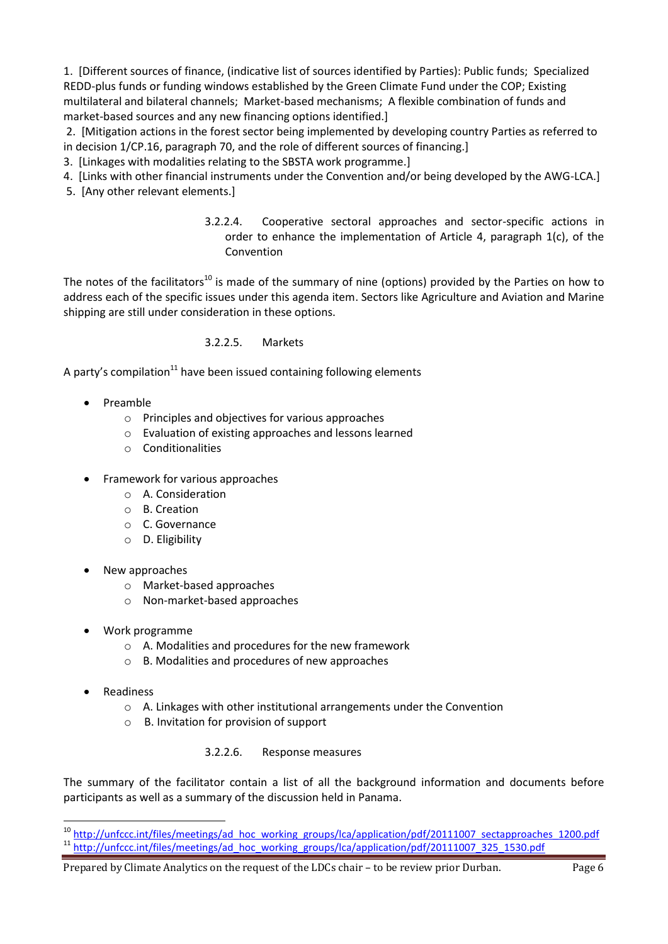1. [Different sources of finance, (indicative list of sources identified by Parties): Public funds; Specialized REDD-plus funds or funding windows established by the Green Climate Fund under the COP; Existing multilateral and bilateral channels; Market-based mechanisms; A flexible combination of funds and market-based sources and any new financing options identified.]

2. [Mitigation actions in the forest sector being implemented by developing country Parties as referred to in decision 1/CP.16, paragraph 70, and the role of different sources of financing.]

3. [Linkages with modalities relating to the SBSTA work programme.]

- 4. [Links with other financial instruments under the Convention and/or being developed by the AWG-LCA.]
- 5. [Any other relevant elements.]
	- 3.2.2.4. Cooperative sectoral approaches and sector-specific actions in order to enhance the implementation of Article 4, paragraph 1(c), of the Convention

The notes of the facilitators<sup>10</sup> is made of the summary of nine (options) provided by the Parties on how to address each of the specific issues under this agenda item. Sectors like Agriculture and Aviation and Marine shipping are still under consideration in these options.

# 3.2.2.5. Markets

A party's compilation $11$  have been issued containing following elements

- Preamble
	- o Principles and objectives for various approaches
	- o Evaluation of existing approaches and lessons learned
	- o Conditionalities
- Framework for various approaches
	- o A. Consideration
	- o B. Creation
	- o C. Governance
	- o D. Eligibility
- New approaches
	- o Market-based approaches
	- o Non-market-based approaches
- Work programme
	- o A. Modalities and procedures for the new framework
	- o B. Modalities and procedures of new approaches
- Readiness

1

- o A. Linkages with other institutional arrangements under the Convention
- o B. Invitation for provision of support

# 3.2.2.6. Response measures

The summary of the facilitator contain a list of all the background information and documents before participants as well as a summary of the discussion held in Panama.

<sup>&</sup>lt;sup>10</sup> [http://unfccc.int/files/meetings/ad\\_hoc\\_working\\_groups/lca/application/pdf/20111007\\_sectapproaches\\_1200.pdf](http://unfccc.int/files/meetings/ad_hoc_working_groups/lca/application/pdf/20111007_sectapproaches_1200.pdf) <sup>11</sup> [http://unfccc.int/files/meetings/ad\\_hoc\\_working\\_groups/lca/application/pdf/20111007\\_325\\_1530.pdf](http://unfccc.int/files/meetings/ad_hoc_working_groups/lca/application/pdf/20111007_325_1530.pdf)

Prepared by Climate Analytics on the request of the LDCs chair - to be review prior Durban. Page 6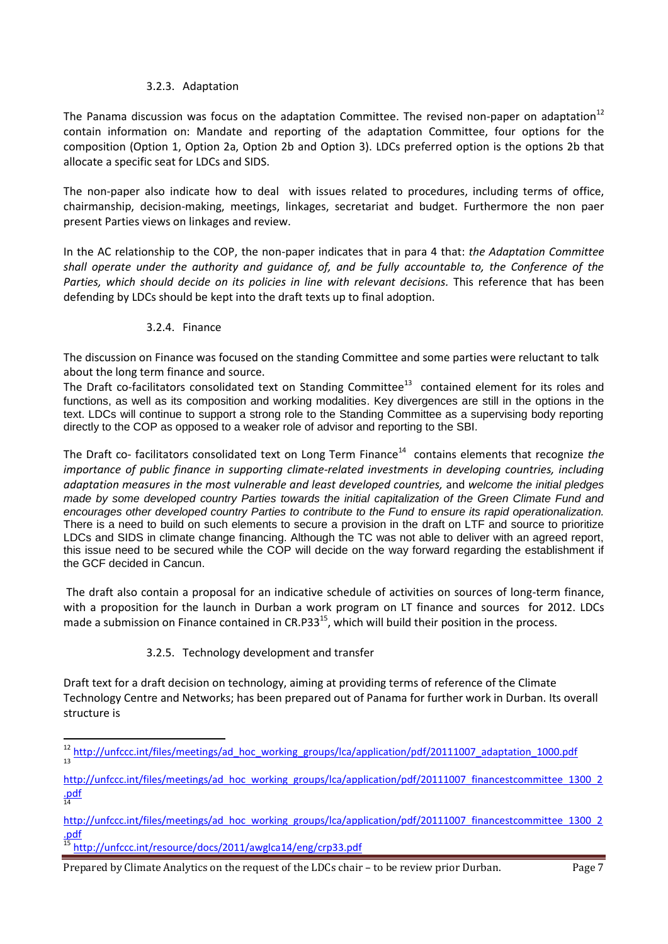#### 3.2.3. Adaptation

The Panama discussion was focus on the adaptation Committee. The revised non-paper on adaptation<sup>12</sup> contain information on: Mandate and reporting of the adaptation Committee, four options for the composition (Option 1, Option 2a, Option 2b and Option 3). LDCs preferred option is the options 2b that allocate a specific seat for LDCs and SIDS.

The non-paper also indicate how to deal with issues related to procedures, including terms of office, chairmanship, decision-making, meetings, linkages, secretariat and budget. Furthermore the non paer present Parties views on linkages and review.

In the AC relationship to the COP, the non-paper indicates that in para 4 that: *the Adaptation Committee shall operate under the authority and guidance of, and be fully accountable to, the Conference of the Parties, which should decide on its policies in line with relevant decisions.* This reference that has been defending by LDCs should be kept into the draft texts up to final adoption.

#### 3.2.4. Finance

The discussion on Finance was focused on the standing Committee and some parties were reluctant to talk about the long term finance and source.

The Draft co-facilitators consolidated text on Standing Committee<sup>13</sup> contained element for its roles and functions, as well as its composition and working modalities. Key divergences are still in the options in the text. LDCs will continue to support a strong role to the Standing Committee as a supervising body reporting directly to the COP as opposed to a weaker role of advisor and reporting to the SBI.

The Draft co- facilitators consolidated text on Long Term Finance<sup>14</sup> contains elements that recognize the *importance of public finance in supporting climate-related investments in developing countries, including adaptation measures in the most vulnerable and least developed countries,* and *welcome the initial pledges made by some developed country Parties towards the initial capitalization of the Green Climate Fund and encourages other developed country Parties to contribute to the Fund to ensure its rapid operationalization.*  There is a need to build on such elements to secure a provision in the draft on LTF and source to prioritize LDCs and SIDS in climate change financing. Although the TC was not able to deliver with an agreed report, this issue need to be secured while the COP will decide on the way forward regarding the establishment if the GCF decided in Cancun.

The draft also contain a proposal for an indicative schedule of activities on sources of long-term finance, with a proposition for the launch in Durban a work program on LT finance and sources for 2012. LDCs made a submission on Finance contained in CR.P33<sup>15</sup>, which will build their position in the process.

# 3.2.5. Technology development and transfer

Draft text for a draft decision on technology, aiming at providing terms of reference of the Climate Technology Centre and Networks; has been prepared out of Panama for further work in Durban. Its overall structure is

**<sup>.</sup>** <sup>12</sup> [http://unfccc.int/files/meetings/ad\\_hoc\\_working\\_groups/lca/application/pdf/20111007\\_adaptation\\_1000.pdf](http://unfccc.int/files/meetings/ad_hoc_working_groups/lca/application/pdf/20111007_adaptation_1000.pdf)  $1<sub>2</sub>$ 

[http://unfccc.int/files/meetings/ad\\_hoc\\_working\\_groups/lca/application/pdf/20111007\\_financestcommittee\\_1300\\_2](http://unfccc.int/files/meetings/ad_hoc_working_groups/lca/application/pdf/20111007_financestcommittee_1300_2.pdf) [.pdf](http://unfccc.int/files/meetings/ad_hoc_working_groups/lca/application/pdf/20111007_financestcommittee_1300_2.pdf) 14

[http://unfccc.int/files/meetings/ad\\_hoc\\_working\\_groups/lca/application/pdf/20111007\\_financestcommittee\\_1300\\_2](http://unfccc.int/files/meetings/ad_hoc_working_groups/lca/application/pdf/20111007_financestcommittee_1300_2.pdf) [.pdf](http://unfccc.int/files/meetings/ad_hoc_working_groups/lca/application/pdf/20111007_financestcommittee_1300_2.pdf)

<sup>&</sup>lt;sup>5</sup> <http://unfccc.int/resource/docs/2011/awglca14/eng/crp33.pdf>

Prepared by Climate Analytics on the request of the LDCs chair – to be review prior Durban. Page 7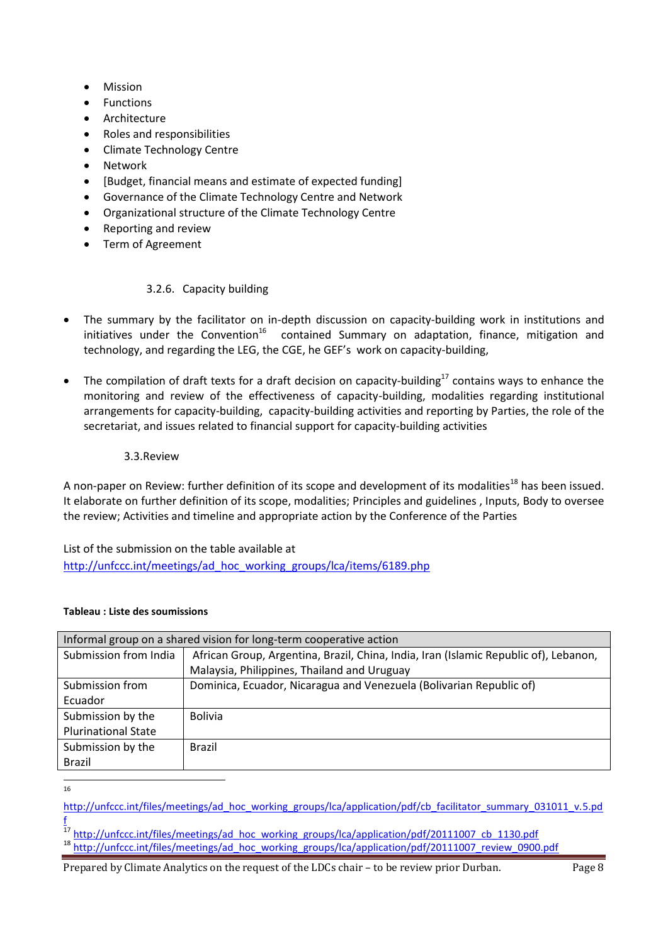- Mission
- Functions
- Architecture
- Roles and responsibilities
- Climate Technology Centre
- Network
- [Budget, financial means and estimate of expected funding]
- Governance of the Climate Technology Centre and Network
- Organizational structure of the Climate Technology Centre
- Reporting and review
- Term of Agreement

# 3.2.6. Capacity building

- The summary by the facilitator on in-depth discussion on capacity-building work in institutions and initiatives under the Convention<sup>16</sup> contained Summary on adaptation, finance, mitigation and technology, and regarding the LEG, the CGE, he GEF's work on capacity-building,
- The compilation of draft texts for a draft decision on capacity-building $^{17}$  contains ways to enhance the monitoring and review of the effectiveness of capacity-building, modalities regarding institutional arrangements for capacity-building, capacity-building activities and reporting by Parties, the role of the secretariat, and issues related to financial support for capacity-building activities

#### 3.3.Review

A non-paper on Review: further definition of its scope and development of its modalities<sup>18</sup> has been issued. It elaborate on further definition of its scope, modalities; Principles and guidelines , Inputs, Body to oversee the review; Activities and timeline and appropriate action by the Conference of the Parties

List of the submission on the table available at [http://unfccc.int/meetings/ad\\_hoc\\_working\\_groups/lca/items/6189.php](http://unfccc.int/meetings/ad_hoc_working_groups/lca/items/6189.php)

#### **Tableau : Liste des soumissions**

| Informal group on a shared vision for long-term cooperative action |                                                                                      |  |
|--------------------------------------------------------------------|--------------------------------------------------------------------------------------|--|
| Submission from India                                              | African Group, Argentina, Brazil, China, India, Iran (Islamic Republic of), Lebanon, |  |
|                                                                    | Malaysia, Philippines, Thailand and Uruguay                                          |  |
| Submission from                                                    | Dominica, Ecuador, Nicaragua and Venezuela (Bolivarian Republic of)                  |  |
| Ecuador                                                            |                                                                                      |  |
| Submission by the                                                  | <b>Bolivia</b>                                                                       |  |
| <b>Plurinational State</b>                                         |                                                                                      |  |
| Submission by the                                                  | <b>Brazil</b>                                                                        |  |
| <b>Brazil</b>                                                      |                                                                                      |  |

 $\frac{1}{16}$ 

[http://unfccc.int/files/meetings/ad\\_hoc\\_working\\_groups/lca/application/pdf/cb\\_facilitator\\_summary\\_031011\\_v.5.pd](http://unfccc.int/files/meetings/ad_hoc_working_groups/lca/application/pdf/cb_facilitator_summary_031011_v.5.pdf) [f](http://unfccc.int/files/meetings/ad_hoc_working_groups/lca/application/pdf/cb_facilitator_summary_031011_v.5.pdf)

<sup>17</sup> [http://unfccc.int/files/meetings/ad\\_hoc\\_working\\_groups/lca/application/pdf/20111007\\_cb\\_1130.pdf](http://unfccc.int/files/meetings/ad_hoc_working_groups/lca/application/pdf/20111007_cb_1130.pdf) <sup>18</sup> [http://unfccc.int/files/meetings/ad\\_hoc\\_working\\_groups/lca/application/pdf/20111007\\_review\\_0900.pdf](http://unfccc.int/files/meetings/ad_hoc_working_groups/lca/application/pdf/20111007_review_0900.pdf)

Prepared by Climate Analytics on the request of the LDCs chair - to be review prior Durban. Page 8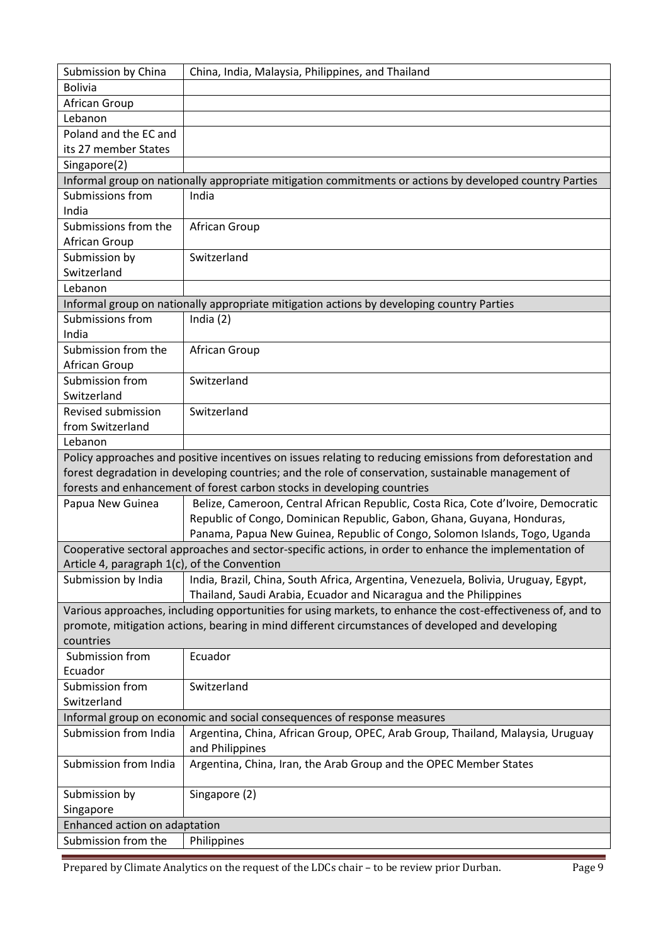| Submission by China                                                                                    | China, India, Malaysia, Philippines, and Thailand                                                                                                       |  |  |
|--------------------------------------------------------------------------------------------------------|---------------------------------------------------------------------------------------------------------------------------------------------------------|--|--|
| <b>Bolivia</b>                                                                                         |                                                                                                                                                         |  |  |
| African Group                                                                                          |                                                                                                                                                         |  |  |
| Lebanon                                                                                                |                                                                                                                                                         |  |  |
| Poland and the EC and                                                                                  |                                                                                                                                                         |  |  |
| its 27 member States                                                                                   |                                                                                                                                                         |  |  |
| Singapore(2)                                                                                           |                                                                                                                                                         |  |  |
|                                                                                                        | Informal group on nationally appropriate mitigation commitments or actions by developed country Parties                                                 |  |  |
| Submissions from                                                                                       | India                                                                                                                                                   |  |  |
| India                                                                                                  |                                                                                                                                                         |  |  |
| Submissions from the                                                                                   | African Group                                                                                                                                           |  |  |
| African Group                                                                                          |                                                                                                                                                         |  |  |
| Submission by                                                                                          | Switzerland                                                                                                                                             |  |  |
| Switzerland                                                                                            |                                                                                                                                                         |  |  |
| Lebanon                                                                                                |                                                                                                                                                         |  |  |
|                                                                                                        | Informal group on nationally appropriate mitigation actions by developing country Parties                                                               |  |  |
| Submissions from                                                                                       | India $(2)$                                                                                                                                             |  |  |
| India                                                                                                  |                                                                                                                                                         |  |  |
| Submission from the                                                                                    | African Group                                                                                                                                           |  |  |
| African Group                                                                                          |                                                                                                                                                         |  |  |
| Submission from                                                                                        | Switzerland                                                                                                                                             |  |  |
| Switzerland                                                                                            |                                                                                                                                                         |  |  |
| Revised submission                                                                                     | Switzerland                                                                                                                                             |  |  |
| from Switzerland                                                                                       |                                                                                                                                                         |  |  |
| Lebanon                                                                                                |                                                                                                                                                         |  |  |
|                                                                                                        | Policy approaches and positive incentives on issues relating to reducing emissions from deforestation and                                               |  |  |
|                                                                                                        | forest degradation in developing countries; and the role of conservation, sustainable management of                                                     |  |  |
|                                                                                                        | forests and enhancement of forest carbon stocks in developing countries                                                                                 |  |  |
| Papua New Guinea                                                                                       | Belize, Cameroon, Central African Republic, Costa Rica, Cote d'Ivoire, Democratic                                                                       |  |  |
|                                                                                                        | Republic of Congo, Dominican Republic, Gabon, Ghana, Guyana, Honduras,                                                                                  |  |  |
|                                                                                                        | Panama, Papua New Guinea, Republic of Congo, Solomon Islands, Togo, Uganda                                                                              |  |  |
| Cooperative sectoral approaches and sector-specific actions, in order to enhance the implementation of |                                                                                                                                                         |  |  |
| Article 4, paragraph 1(c), of the Convention                                                           |                                                                                                                                                         |  |  |
| Submission by India                                                                                    | India, Brazil, China, South Africa, Argentina, Venezuela, Bolivia, Uruguay, Egypt,<br>Thailand, Saudi Arabia, Ecuador and Nicaragua and the Philippines |  |  |
|                                                                                                        | Various approaches, including opportunities for using markets, to enhance the cost-effectiveness of, and to                                             |  |  |
| promote, mitigation actions, bearing in mind different circumstances of developed and developing       |                                                                                                                                                         |  |  |
| countries                                                                                              |                                                                                                                                                         |  |  |
| Submission from                                                                                        | Ecuador                                                                                                                                                 |  |  |
| Ecuador                                                                                                |                                                                                                                                                         |  |  |
| Submission from                                                                                        | Switzerland                                                                                                                                             |  |  |
| Switzerland                                                                                            |                                                                                                                                                         |  |  |
|                                                                                                        | Informal group on economic and social consequences of response measures                                                                                 |  |  |
| Submission from India                                                                                  | Argentina, China, African Group, OPEC, Arab Group, Thailand, Malaysia, Uruguay<br>and Philippines                                                       |  |  |
| Submission from India                                                                                  | Argentina, China, Iran, the Arab Group and the OPEC Member States                                                                                       |  |  |
| Submission by                                                                                          | Singapore (2)                                                                                                                                           |  |  |
| Singapore                                                                                              |                                                                                                                                                         |  |  |
| Enhanced action on adaptation                                                                          |                                                                                                                                                         |  |  |
| Submission from the                                                                                    | Philippines                                                                                                                                             |  |  |
|                                                                                                        |                                                                                                                                                         |  |  |